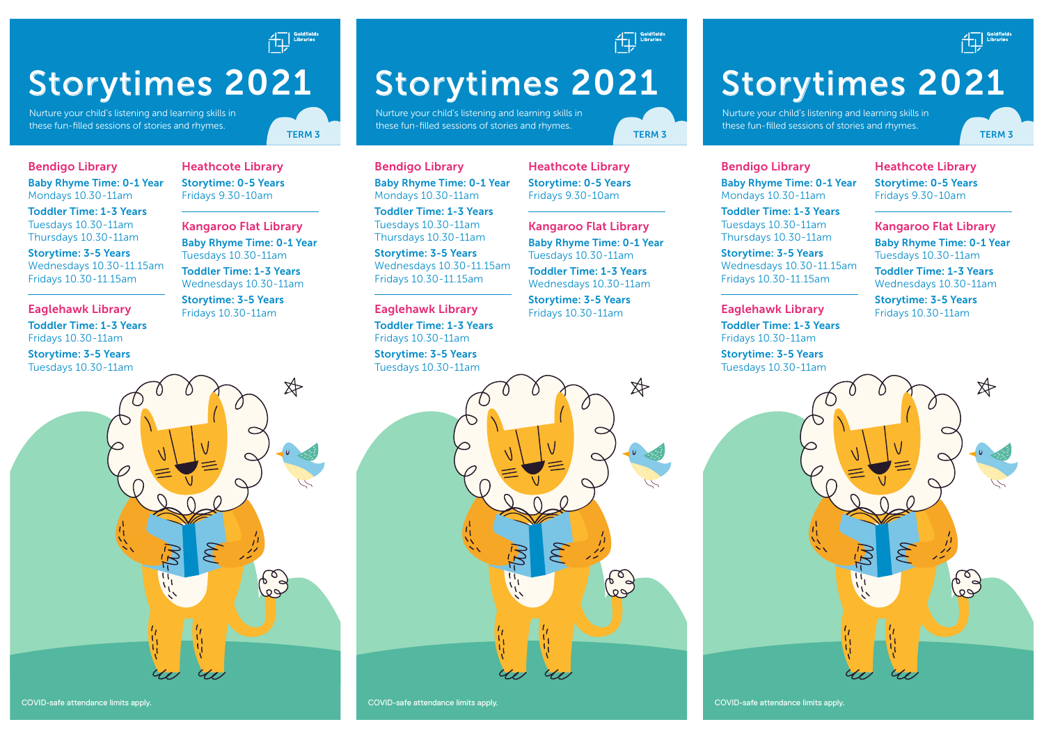

# Storytimes 2021

Nurture your child's listening and learning skills in these fun-filled sessions of stories and rhymes.

Heathcote Library Storytime: 0-5 Years Fridays 9.30-10am

Kangaroo Flat Library Baby Rhyme Time: 0-1 Year Tuesdays 10.30-11am Toddler Time: 1-3 Years Wednesdays 10.30-11am Storytime: 3-5 Years Fridays 10.30-11am

#### Bendigo Library

Baby Rhyme Time: 0-1 Year Mondays 10.30-11am

Toddler Time: 1-3 Years Tuesdays 10.30-11am Thursdays 10.30-11am

Storytime: 3-5 Years Wednesdays 10.30-11.15am Fridays 10.30-11.15am

Eaglehawk Library Toddler Time: 1-3 Years Fridays 10.30-11am

Storytime: 3-5 Years



Storytimes 2021

Nurture your child's listening and learning skills in these fun-filled sessions of stories and rhymes.

Bendigo Library Baby Rhyme Time: 0-1 Year Mondays 10.30-11am

Toddler Time: 1-3 Years Tuesdays 10.30-11am Thursdays 10.30-11am

Storytime: 3-5 Years Wednesdays 10.30-11.15am Fridays 10.30-11.15am

Eaglehawk Library Toddler Time: 1-3 Years Fridays 10.30-11am

Storytime: 3-5 Years Tuesdays 10.30-11am

Heathcote Library Storytime: 0-5 Years Fridays 9.30-10am

Kangaroo Flat Library Baby Rhyme Time: 0-1 Year Tuesdays 10.30-11am Toddler Time: 1-3 Years

Storytime: 3-5 Years Fridays 10.30-11am

Wednesdays 10.30-11am

 $\beta$ 

್ದ<br>ಅ

Toddler Time: 1-3 Years Tuesdays 10.30-11am Thursdays 10.30-11am

Storytime: 3-5 Years Wednesdays 10.30-11.15am Fridays 10.30-11.15am

> Eaglehawk Library Toddler Time: 1-3 Years Fridays 10.30-11am

Bendigo Library

Baby Rhyme Time: 0-1 Year Mondays 10.30-11am

Storytime: 3-5 Years Tuesdays 10.30-11am

COVID-safe attendance limits apply.

Heathcote Library Storytime: 0-5 Years Fridays 9.30-10am

Storytimes 2021

these fun-filled sessions of stories and rhymes.

Nurture your child's listening and learning skills in

Kangaroo Flat Library Baby Rhyme Time: 0-1 Year Tuesdays 10.30-11am

Toddler Time: 1-3 Years Wednesdays 10.30-11am

Storytime: 3-5 Years Fridays 10.30-11am



COVID-safe attendance limits apply.